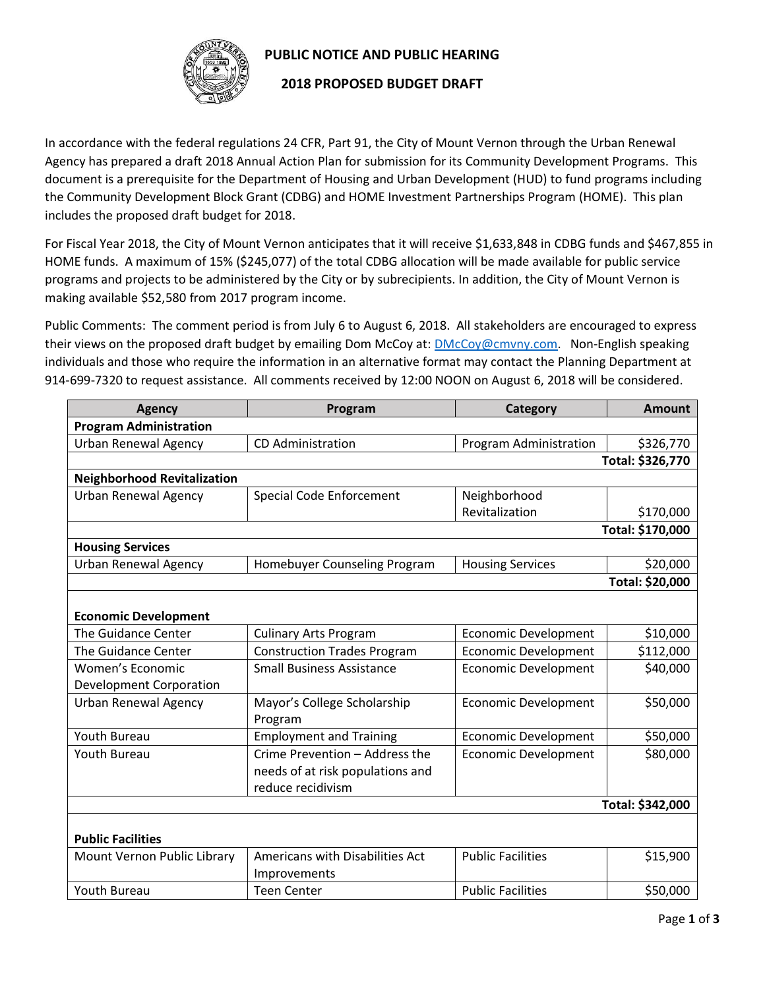

## **PUBLIC NOTICE AND PUBLIC HEARING**

## **2018 PROPOSED BUDGET DRAFT**

In accordance with the federal regulations 24 CFR, Part 91, the City of Mount Vernon through the Urban Renewal Agency has prepared a draft 2018 Annual Action Plan for submission for its Community Development Programs. This document is a prerequisite for the Department of Housing and Urban Development (HUD) to fund programs including the Community Development Block Grant (CDBG) and HOME Investment Partnerships Program (HOME). This plan includes the proposed draft budget for 2018.

For Fiscal Year 2018, the City of Mount Vernon anticipates that it will receive \$1,633,848 in CDBG funds and \$467,855 in HOME funds. A maximum of 15% (\$245,077) of the total CDBG allocation will be made available for public service programs and projects to be administered by the City or by subrecipients. In addition, the City of Mount Vernon is making available \$52,580 from 2017 program income.

Public Comments: The comment period is from July 6 to August 6, 2018. All stakeholders are encouraged to express their views on the proposed draft budget by emailing Dom McCoy at: **DMcCoy@cmvny.com.** Non-English speaking individuals and those who require the information in an alternative format may contact the Planning Department at 914-699-7320 to request assistance. All comments received by 12:00 NOON on August 6, 2018 will be considered.

| <b>Agency</b>                      | Program                            | Category                    | <b>Amount</b>    |  |  |
|------------------------------------|------------------------------------|-----------------------------|------------------|--|--|
| <b>Program Administration</b>      |                                    |                             |                  |  |  |
| <b>Urban Renewal Agency</b>        | <b>CD</b> Administration           | Program Administration      | \$326,770        |  |  |
|                                    |                                    |                             | Total: \$326,770 |  |  |
| <b>Neighborhood Revitalization</b> |                                    |                             |                  |  |  |
| <b>Urban Renewal Agency</b>        | <b>Special Code Enforcement</b>    | Neighborhood                |                  |  |  |
|                                    |                                    | Revitalization              | \$170,000        |  |  |
|                                    |                                    |                             | Total: \$170,000 |  |  |
| <b>Housing Services</b>            |                                    |                             |                  |  |  |
| <b>Urban Renewal Agency</b>        | Homebuyer Counseling Program       | <b>Housing Services</b>     | \$20,000         |  |  |
|                                    |                                    |                             | Total: \$20,000  |  |  |
|                                    |                                    |                             |                  |  |  |
| <b>Economic Development</b>        |                                    |                             |                  |  |  |
| The Guidance Center                | <b>Culinary Arts Program</b>       | <b>Economic Development</b> | \$10,000         |  |  |
| The Guidance Center                | <b>Construction Trades Program</b> | <b>Economic Development</b> | \$112,000        |  |  |
| Women's Economic                   | <b>Small Business Assistance</b>   | <b>Economic Development</b> | \$40,000         |  |  |
| <b>Development Corporation</b>     |                                    |                             |                  |  |  |
| <b>Urban Renewal Agency</b>        | Mayor's College Scholarship        | <b>Economic Development</b> | \$50,000         |  |  |
|                                    | Program                            |                             |                  |  |  |
| Youth Bureau                       | <b>Employment and Training</b>     | <b>Economic Development</b> | \$50,000         |  |  |
| Youth Bureau                       | Crime Prevention - Address the     | <b>Economic Development</b> | \$80,000         |  |  |
|                                    | needs of at risk populations and   |                             |                  |  |  |
|                                    | reduce recidivism                  |                             |                  |  |  |
|                                    |                                    |                             | Total: \$342,000 |  |  |
|                                    |                                    |                             |                  |  |  |
| <b>Public Facilities</b>           |                                    |                             |                  |  |  |
| Mount Vernon Public Library        | Americans with Disabilities Act    | <b>Public Facilities</b>    | \$15,900         |  |  |
|                                    | Improvements                       |                             |                  |  |  |
| <b>Youth Bureau</b>                | <b>Teen Center</b>                 | <b>Public Facilities</b>    | \$50,000         |  |  |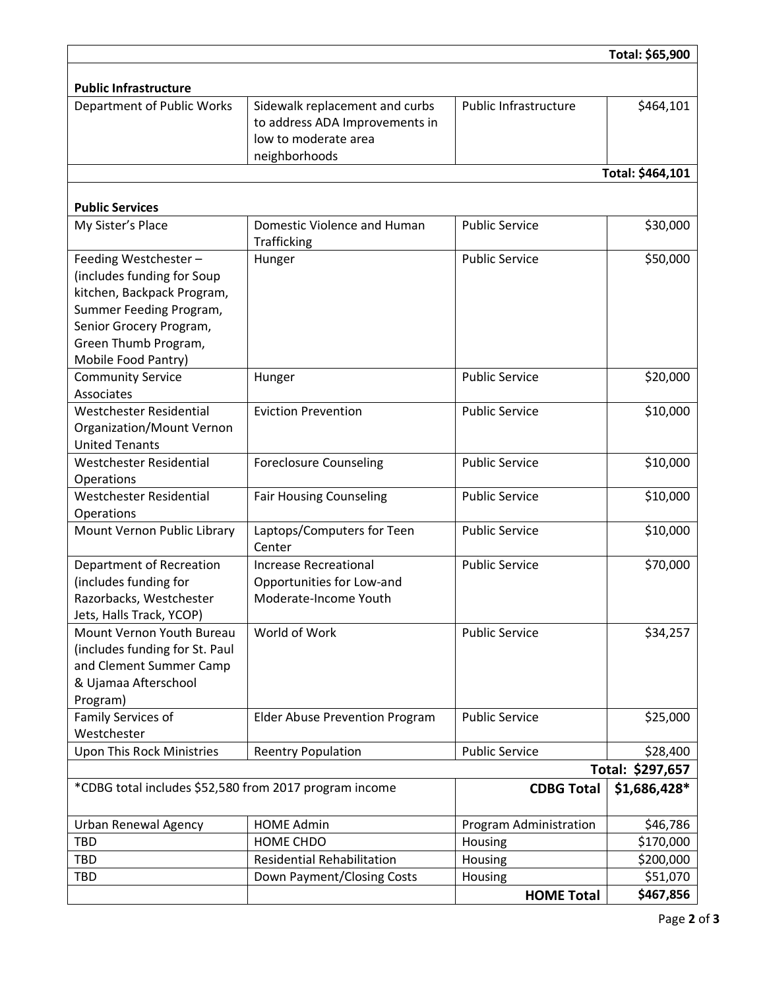|                                                        |                                                                                          |                        | Total: \$65,900              |
|--------------------------------------------------------|------------------------------------------------------------------------------------------|------------------------|------------------------------|
|                                                        |                                                                                          |                        |                              |
| <b>Public Infrastructure</b>                           |                                                                                          |                        |                              |
| Department of Public Works                             | Sidewalk replacement and curbs<br>to address ADA Improvements in<br>low to moderate area | Public Infrastructure  | \$464,101                    |
|                                                        | neighborhoods                                                                            |                        |                              |
|                                                        |                                                                                          |                        | Total: \$464,101             |
| <b>Public Services</b>                                 |                                                                                          |                        |                              |
| My Sister's Place                                      | Domestic Violence and Human<br>Trafficking                                               | <b>Public Service</b>  | \$30,000                     |
| Feeding Westchester-<br>(includes funding for Soup     | Hunger                                                                                   | <b>Public Service</b>  | \$50,000                     |
| kitchen, Backpack Program,                             |                                                                                          |                        |                              |
| Summer Feeding Program,                                |                                                                                          |                        |                              |
| Senior Grocery Program,                                |                                                                                          |                        |                              |
| Green Thumb Program,                                   |                                                                                          |                        |                              |
| Mobile Food Pantry)                                    |                                                                                          |                        |                              |
| <b>Community Service</b><br>Associates                 | Hunger                                                                                   | <b>Public Service</b>  | \$20,000                     |
| Westchester Residential                                | <b>Eviction Prevention</b>                                                               | <b>Public Service</b>  | \$10,000                     |
| Organization/Mount Vernon                              |                                                                                          |                        |                              |
| <b>United Tenants</b>                                  |                                                                                          |                        |                              |
| <b>Westchester Residential</b>                         | <b>Foreclosure Counseling</b>                                                            | <b>Public Service</b>  | \$10,000                     |
| Operations                                             |                                                                                          |                        |                              |
| Westchester Residential                                | <b>Fair Housing Counseling</b>                                                           | <b>Public Service</b>  | \$10,000                     |
| Operations                                             |                                                                                          |                        |                              |
| Mount Vernon Public Library                            | Laptops/Computers for Teen<br>Center                                                     | <b>Public Service</b>  | \$10,000                     |
| Department of Recreation                               | Increase Recreational                                                                    | <b>Public Service</b>  | \$70,000                     |
| (includes funding for                                  | Opportunities for Low-and                                                                |                        |                              |
| Razorbacks, Westchester                                | Moderate-Income Youth                                                                    |                        |                              |
| Jets, Halls Track, YCOP)                               |                                                                                          |                        |                              |
| Mount Vernon Youth Bureau                              | World of Work                                                                            | <b>Public Service</b>  | \$34,257                     |
| (includes funding for St. Paul                         |                                                                                          |                        |                              |
| and Clement Summer Camp                                |                                                                                          |                        |                              |
| & Ujamaa Afterschool                                   |                                                                                          |                        |                              |
| Program)                                               |                                                                                          | <b>Public Service</b>  |                              |
| Family Services of<br>Westchester                      | <b>Elder Abuse Prevention Program</b>                                                    |                        | \$25,000                     |
|                                                        |                                                                                          | <b>Public Service</b>  |                              |
| <b>Upon This Rock Ministries</b>                       | <b>Reentry Population</b>                                                                |                        | \$28,400<br>Total: \$297,657 |
|                                                        |                                                                                          |                        |                              |
| *CDBG total includes \$52,580 from 2017 program income |                                                                                          | <b>CDBG Total</b>      | \$1,686,428*                 |
| Urban Renewal Agency                                   | <b>HOME Admin</b>                                                                        | Program Administration | \$46,786                     |
| <b>TBD</b>                                             | HOME CHDO                                                                                | Housing                | \$170,000                    |
| <b>TBD</b>                                             | <b>Residential Rehabilitation</b>                                                        | Housing                | \$200,000                    |
| <b>TBD</b>                                             | Down Payment/Closing Costs                                                               | Housing                | \$51,070                     |
|                                                        |                                                                                          | <b>HOME Total</b>      | \$467,856                    |